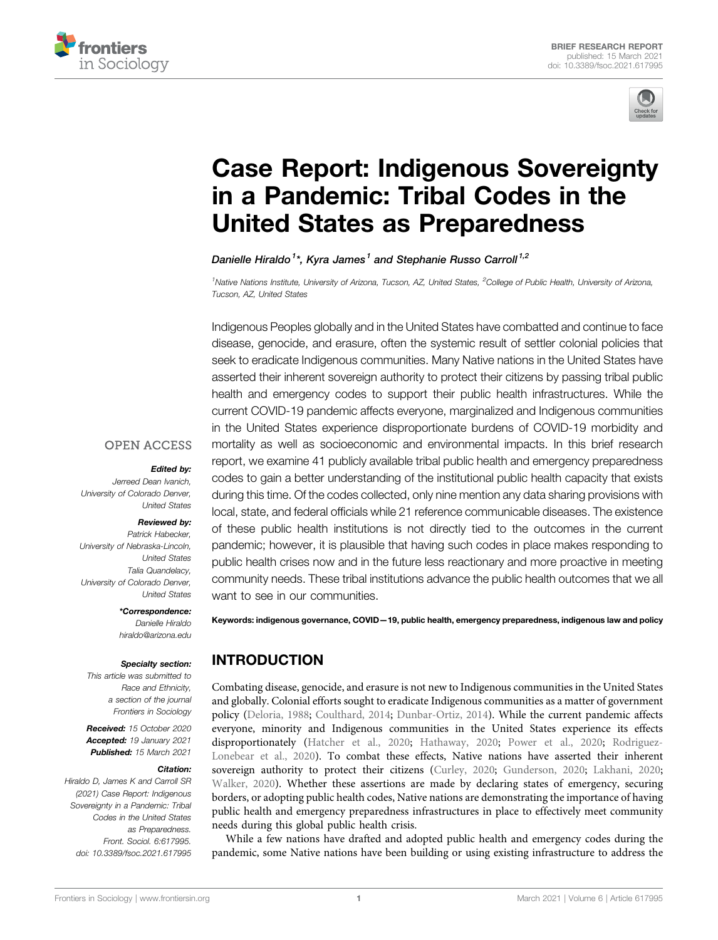



# [Case Report: Indigenous Sovereignty](https://www.frontiersin.org/articles/10.3389/fsoc.2021.617995/full) [in a Pandemic: Tribal Codes in the](https://www.frontiersin.org/articles/10.3389/fsoc.2021.617995/full) [United States as Preparedness](https://www.frontiersin.org/articles/10.3389/fsoc.2021.617995/full)

Danielle Hiraldo<sup>1\*</sup>, Kvra James<sup>1</sup> and Stephanie Russo Carroll<sup>1,2</sup>

<sup>1</sup>Native Nations Institute, University of Arizona, Tucson, AZ, United States, <sup>2</sup>College of Public Health, University of Arizona, Tucson, AZ, United States

Indigenous Peoples globally and in the United States have combatted and continue to face disease, genocide, and erasure, often the systemic result of settler colonial policies that seek to eradicate Indigenous communities. Many Native nations in the United States have asserted their inherent sovereign authority to protect their citizens by passing tribal public health and emergency codes to support their public health infrastructures. While the current COVID-19 pandemic affects everyone, marginalized and Indigenous communities in the United States experience disproportionate burdens of COVID-19 morbidity and mortality as well as socioeconomic and environmental impacts. In this brief research report, we examine 41 publicly available tribal public health and emergency preparedness codes to gain a better understanding of the institutional public health capacity that exists during this time. Of the codes collected, only nine mention any data sharing provisions with local, state, and federal officials while 21 reference communicable diseases. The existence of these public health institutions is not directly tied to the outcomes in the current pandemic; however, it is plausible that having such codes in place makes responding to public health crises now and in the future less reactionary and more proactive in meeting community needs. These tribal institutions advance the public health outcomes that we all want to see in our communities.

#### **OPEN ACCESS**

#### Edited by:

Jerreed Dean Ivanich, University of Colorado Denver, United States

#### Reviewed by:

Patrick Habecker, University of Nebraska-Lincoln, United States Talia Quandelacy, University of Colorado Denver, United States

> \*Correspondence: Danielle Hiraldo [hiraldo@arizona.edu](mailto:hiraldo@arizona.edu)

#### Specialty section:

This article was submitted to Race and Ethnicity, a section of the journal Frontiers in Sociology

Received: 15 October 2020 Accepted: 19 January 2021 Published: 15 March 2021

#### Citation:

Hiraldo D, James K and Carroll SR (2021) Case Report: Indigenous Sovereignty in a Pandemic: Tribal Codes in the United States as Preparedness. Front. Sociol. 6:617995. doi: [10.3389/fsoc.2021.617995](https://doi.org/10.3389/fsoc.2021.617995)

Keywords: indigenous governance, COVID—19, public health, emergency preparedness, indigenous law and policy

# INTRODUCTION

Combating disease, genocide, and erasure is not new to Indigenous communities in the United States and globally. Colonial efforts sought to eradicate Indigenous communities as a matter of government policy [\(Deloria, 1988](#page-7-0); [Coulthard, 2014;](#page-7-1) [Dunbar-Ortiz, 2014\)](#page-7-2). While the current pandemic affects everyone, minority and Indigenous communities in the United States experience its effects disproportionately [\(Hatcher et al., 2020](#page-7-3); [Hathaway, 2020](#page-7-4); [Power et al., 2020;](#page-7-5) [Rodriguez-](#page-7-6)[Lonebear et al., 2020](#page-7-6)). To combat these effects, Native nations have asserted their inherent sovereign authority to protect their citizens ([Curley, 2020](#page-7-7); [Gunderson, 2020](#page-7-8); [Lakhani, 2020;](#page-7-9) [Walker, 2020](#page-8-0)). Whether these assertions are made by declaring states of emergency, securing borders, or adopting public health codes, Native nations are demonstrating the importance of having public health and emergency preparedness infrastructures in place to effectively meet community needs during this global public health crisis.

While a few nations have drafted and adopted public health and emergency codes during the pandemic, some Native nations have been building or using existing infrastructure to address the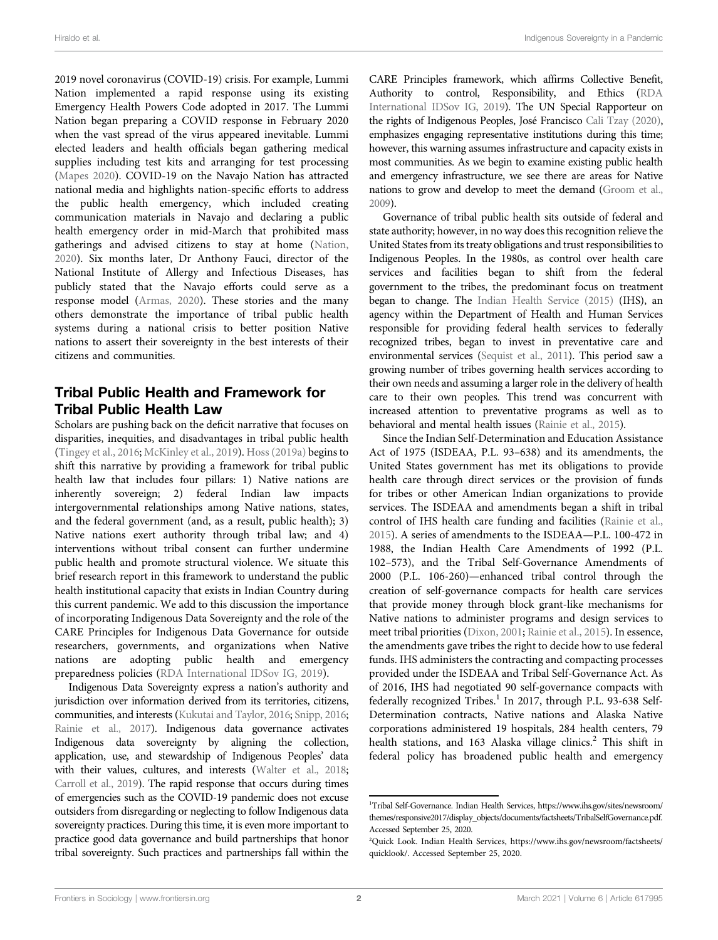2019 novel coronavirus (COVID-19) crisis. For example, Lummi Nation implemented a rapid response using its existing Emergency Health Powers Code adopted in 2017. The Lummi Nation began preparing a COVID response in February 2020 when the vast spread of the virus appeared inevitable. Lummi elected leaders and health officials began gathering medical supplies including test kits and arranging for test processing ([Mapes 2020](#page-7-10)). COVID-19 on the Navajo Nation has attracted national media and highlights nation-specific efforts to address the public health emergency, which included creating communication materials in Navajo and declaring a public health emergency order in mid-March that prohibited mass gatherings and advised citizens to stay at home ([Nation,](#page-7-11) [2020](#page-7-11)). Six months later, Dr Anthony Fauci, director of the National Institute of Allergy and Infectious Diseases, has publicly stated that the Navajo efforts could serve as a response model [\(Armas, 2020](#page-7-12)). These stories and the many others demonstrate the importance of tribal public health systems during a national crisis to better position Native nations to assert their sovereignty in the best interests of their citizens and communities.

## Tribal Public Health and Framework for Tribal Public Health Law

Scholars are pushing back on the deficit narrative that focuses on disparities, inequities, and disadvantages in tribal public health ([Tingey et al., 2016;](#page-8-1) [McKinley et al., 2019](#page-7-13)). [Hoss \(2019a\)](#page-7-14) begins to shift this narrative by providing a framework for tribal public health law that includes four pillars: 1) Native nations are inherently sovereign; 2) federal Indian law impacts intergovernmental relationships among Native nations, states, and the federal government (and, as a result, public health); 3) Native nations exert authority through tribal law; and 4) interventions without tribal consent can further undermine public health and promote structural violence. We situate this brief research report in this framework to understand the public health institutional capacity that exists in Indian Country during this current pandemic. We add to this discussion the importance of incorporating Indigenous Data Sovereignty and the role of the CARE Principles for Indigenous Data Governance for outside researchers, governments, and organizations when Native nations are adopting public health and emergency preparedness policies ([RDA International IDSov IG, 2019\)](#page-8-2).

Indigenous Data Sovereignty express a nation's authority and jurisdiction over information derived from its territories, citizens, communities, and interests [\(Kukutai and Taylor, 2016](#page-7-15); [Snipp, 2016](#page-8-3); [Rainie et al., 2017](#page-7-16)). Indigenous data governance activates Indigenous data sovereignty by aligning the collection, application, use, and stewardship of Indigenous Peoples' data with their values, cultures, and interests [\(Walter et al., 2018](#page-8-4); [Carroll et al., 2019\)](#page-7-17). The rapid response that occurs during times of emergencies such as the COVID-19 pandemic does not excuse outsiders from disregarding or neglecting to follow Indigenous data sovereignty practices. During this time, it is even more important to practice good data governance and build partnerships that honor tribal sovereignty. Such practices and partnerships fall within the

CARE Principles framework, which affirms Collective Benefit, Authority to control, Responsibility, and Ethics [\(RDA](#page-8-2) [International IDSov IG, 2019\)](#page-8-2). The UN Special Rapporteur on the rights of Indigenous Peoples, José Francisco [Cali Tzay \(2020\),](#page-7-18) emphasizes engaging representative institutions during this time; however, this warning assumes infrastructure and capacity exists in most communities. As we begin to examine existing public health and emergency infrastructure, we see there are areas for Native nations to grow and develop to meet the demand [\(Groom et al.,](#page-7-19) [2009\)](#page-7-19).

Governance of tribal public health sits outside of federal and state authority; however, in no way does this recognition relieve the United States from its treaty obligations and trust responsibilities to Indigenous Peoples. In the 1980s, as control over health care services and facilities began to shift from the federal government to the tribes, the predominant focus on treatment began to change. The [Indian Health Service \(2015\)](#page-7-20) (IHS), an agency within the Department of Health and Human Services responsible for providing federal health services to federally recognized tribes, began to invest in preventative care and environmental services [\(Sequist et al., 2011](#page-8-5)). This period saw a growing number of tribes governing health services according to their own needs and assuming a larger role in the delivery of health care to their own peoples. This trend was concurrent with increased attention to preventative programs as well as to behavioral and mental health issues ([Rainie et al., 2015](#page-7-21)).

Since the Indian Self-Determination and Education Assistance Act of 1975 (ISDEAA, P.L. 93–638) and its amendments, the United States government has met its obligations to provide health care through direct services or the provision of funds for tribes or other American Indian organizations to provide services. The ISDEAA and amendments began a shift in tribal control of IHS health care funding and facilities [\(Rainie et al.,](#page-7-21) [2015](#page-7-21)). A series of amendments to the ISDEAA—P.L. 100-472 in 1988, the Indian Health Care Amendments of 1992 (P.L. 102–573), and the Tribal Self-Governance Amendments of 2000 (P.L. 106-260)—enhanced tribal control through the creation of self-governance compacts for health care services that provide money through block grant-like mechanisms for Native nations to administer programs and design services to meet tribal priorities ([Dixon, 2001](#page-7-22); [Rainie et al., 2015\)](#page-7-21). In essence, the amendments gave tribes the right to decide how to use federal funds. IHS administers the contracting and compacting processes provided under the ISDEAA and Tribal Self-Governance Act. As of 2016, IHS had negotiated 90 self-governance compacts with federally recognized Tribes.<sup>1</sup> In 2017, through P.L. 93-638 Self-Determination contracts, Native nations and Alaska Native corporations administered 19 hospitals, 284 health centers, 79 health stations, and 163 Alaska village clinics.<sup>2</sup> This shift in federal policy has broadened public health and emergency

<sup>1</sup> Tribal Self-Governance. Indian Health Services, [https://www.ihs.gov/sites/newsroom/](https://www.ihs.gov/sites/newsroom/themes/responsive2017/display_objects/documents/factsheets/TribalSelfGovernance.pdf) [themes/responsive2017/display\\_objects/documents/factsheets/TribalSelfGovernance.pdf.](https://www.ihs.gov/sites/newsroom/themes/responsive2017/display_objects/documents/factsheets/TribalSelfGovernance.pdf) Accessed September 25, 2020.

<sup>&</sup>lt;sup>2</sup>Quick Look. Indian Health Services, [https://www.ihs.gov/newsroom/factsheets/](https://www.ihs.gov/newsroom/factsheets/quicklook/) [quicklook/.](https://www.ihs.gov/newsroom/factsheets/quicklook/) Accessed September 25, 2020.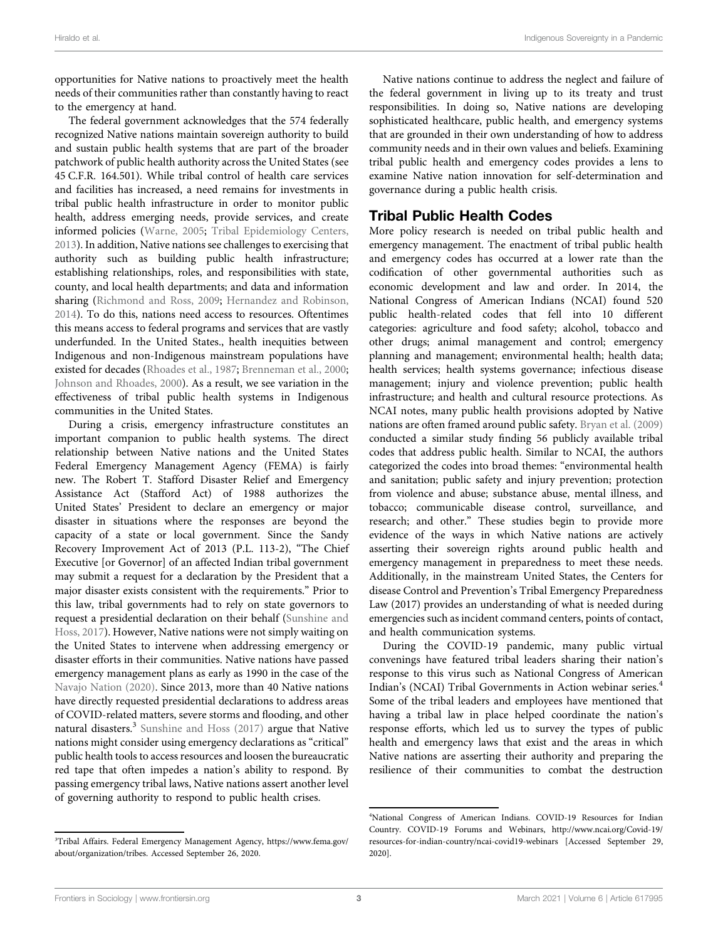opportunities for Native nations to proactively meet the health needs of their communities rather than constantly having to react to the emergency at hand.

The federal government acknowledges that the 574 federally recognized Native nations maintain sovereign authority to build and sustain public health systems that are part of the broader patchwork of public health authority across the United States (see 45 C.F.R. 164.501). While tribal control of health care services and facilities has increased, a need remains for investments in tribal public health infrastructure in order to monitor public health, address emerging needs, provide services, and create informed policies ([Warne, 2005](#page-8-6); [Tribal Epidemiology Centers,](#page-8-7) [2013](#page-8-7)). In addition, Native nations see challenges to exercising that authority such as building public health infrastructure; establishing relationships, roles, and responsibilities with state, county, and local health departments; and data and information sharing [\(Richmond and Ross, 2009](#page-7-23); [Hernandez and Robinson,](#page-7-24) [2014](#page-7-24)). To do this, nations need access to resources. Oftentimes this means access to federal programs and services that are vastly underfunded. In the United States., health inequities between Indigenous and non-Indigenous mainstream populations have existed for decades ([Rhoades et al., 1987](#page-7-25); [Brenneman et al., 2000](#page-7-26); [Johnson and Rhoades, 2000\)](#page-7-27). As a result, we see variation in the effectiveness of tribal public health systems in Indigenous communities in the United States.

During a crisis, emergency infrastructure constitutes an important companion to public health systems. The direct relationship between Native nations and the United States Federal Emergency Management Agency (FEMA) is fairly new. The Robert T. Stafford Disaster Relief and Emergency Assistance Act (Stafford Act) of 1988 authorizes the United States' President to declare an emergency or major disaster in situations where the responses are beyond the capacity of a state or local government. Since the Sandy Recovery Improvement Act of 2013 (P.L. 113-2), "The Chief Executive [or Governor] of an affected Indian tribal government may submit a request for a declaration by the President that a major disaster exists consistent with the requirements." Prior to this law, tribal governments had to rely on state governors to request a presidential declaration on their behalf [\(Sunshine and](#page-8-8) [Hoss, 2017](#page-8-8)). However, Native nations were not simply waiting on the United States to intervene when addressing emergency or disaster efforts in their communities. Native nations have passed emergency management plans as early as 1990 in the case of the [Navajo Nation \(2020\).](#page-7-11) Since 2013, more than 40 Native nations have directly requested presidential declarations to address areas of COVID-related matters, severe storms and flooding, and other natural disasters.<sup>3</sup> [Sunshine and Hoss \(2017\)](#page-8-8) argue that Native nations might consider using emergency declarations as "critical" public health tools to access resources and loosen the bureaucratic red tape that often impedes a nation's ability to respond. By passing emergency tribal laws, Native nations assert another level of governing authority to respond to public health crises.

Native nations continue to address the neglect and failure of the federal government in living up to its treaty and trust responsibilities. In doing so, Native nations are developing sophisticated healthcare, public health, and emergency systems that are grounded in their own understanding of how to address community needs and in their own values and beliefs. Examining tribal public health and emergency codes provides a lens to examine Native nation innovation for self-determination and governance during a public health crisis.

## Tribal Public Health Codes

More policy research is needed on tribal public health and emergency management. The enactment of tribal public health and emergency codes has occurred at a lower rate than the codification of other governmental authorities such as economic development and law and order. In 2014, the National Congress of American Indians (NCAI) found 520 public health-related codes that fell into 10 different categories: agriculture and food safety; alcohol, tobacco and other drugs; animal management and control; emergency planning and management; environmental health; health data; health services; health systems governance; infectious disease management; injury and violence prevention; public health infrastructure; and health and cultural resource protections. As NCAI notes, many public health provisions adopted by Native nations are often framed around public safety. [Bryan et al. \(2009\)](#page-7-28) conducted a similar study finding 56 publicly available tribal codes that address public health. Similar to NCAI, the authors categorized the codes into broad themes: "environmental health and sanitation; public safety and injury prevention; protection from violence and abuse; substance abuse, mental illness, and tobacco; communicable disease control, surveillance, and research; and other." These studies begin to provide more evidence of the ways in which Native nations are actively asserting their sovereign rights around public health and emergency management in preparedness to meet these needs. Additionally, in the mainstream United States, the Centers for disease Control and Prevention's Tribal Emergency Preparedness Law (2017) provides an understanding of what is needed during emergencies such as incident command centers, points of contact, and health communication systems.

During the COVID-19 pandemic, many public virtual convenings have featured tribal leaders sharing their nation's response to this virus such as National Congress of American Indian's (NCAI) Tribal Governments in Action webinar series.<sup>4</sup> Some of the tribal leaders and employees have mentioned that having a tribal law in place helped coordinate the nation's response efforts, which led us to survey the types of public health and emergency laws that exist and the areas in which Native nations are asserting their authority and preparing the resilience of their communities to combat the destruction

<sup>3</sup> Tribal Affairs. Federal Emergency Management Agency, [https://www.fema.gov/](https://www.fema.gov/about/organization/tribes) [about/organization/tribes](https://www.fema.gov/about/organization/tribes). Accessed September 26, 2020.

<sup>4</sup> National Congress of American Indians. COVID-19 Resources for Indian Country. COVID-19 Forums and Webinars, [http://www.ncai.org/Covid-19/](http://www.ncai.org/Covid-19/resources-for-indian-country/ncai-covid19-webinars) [resources-for-indian-country/ncai-covid19-webinars](http://www.ncai.org/Covid-19/resources-for-indian-country/ncai-covid19-webinars) [Accessed September 29, 2020].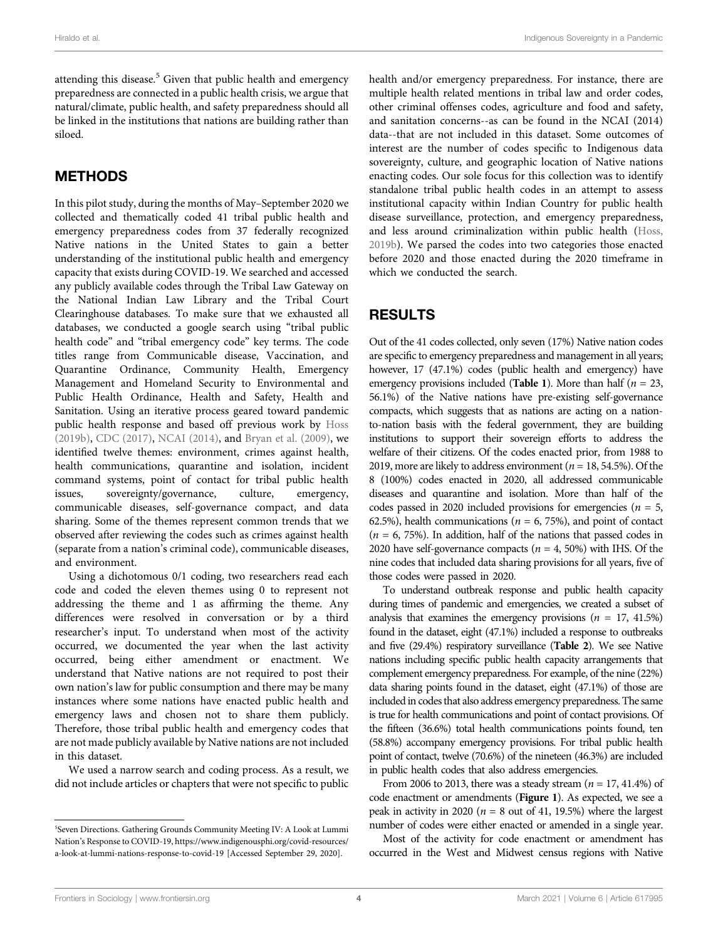attending this disease.<sup>5</sup> Given that public health and emergency preparedness are connected in a public health crisis, we argue that natural/climate, public health, and safety preparedness should all be linked in the institutions that nations are building rather than siloed.

#### METHODS

In this pilot study, during the months of May–September 2020 we collected and thematically coded 41 tribal public health and emergency preparedness codes from 37 federally recognized Native nations in the United States to gain a better understanding of the institutional public health and emergency capacity that exists during COVID-19. We searched and accessed any publicly available codes through the Tribal Law Gateway on the National Indian Law Library and the Tribal Court Clearinghouse databases. To make sure that we exhausted all databases, we conducted a google search using "tribal public health code" and "tribal emergency code" key terms. The code titles range from Communicable disease, Vaccination, and Quarantine Ordinance, Community Health, Emergency Management and Homeland Security to Environmental and Public Health Ordinance, Health and Safety, Health and Sanitation. Using an iterative process geared toward pandemic public health response and based off previous work by [Hoss](#page-7-29) [\(2019b\),](#page-7-29) [CDC \(2017\)](#page-7-30), [NCAI \(2014\)](#page-7-31), and [Bryan et al. \(2009\),](#page-7-28) we identified twelve themes: environment, crimes against health, health communications, quarantine and isolation, incident command systems, point of contact for tribal public health issues, sovereignty/governance, culture, emergency, communicable diseases, self-governance compact, and data sharing. Some of the themes represent common trends that we observed after reviewing the codes such as crimes against health (separate from a nation's criminal code), communicable diseases, and environment.

Using a dichotomous 0/1 coding, two researchers read each code and coded the eleven themes using 0 to represent not addressing the theme and 1 as affirming the theme. Any differences were resolved in conversation or by a third researcher's input. To understand when most of the activity occurred, we documented the year when the last activity occurred, being either amendment or enactment. We understand that Native nations are not required to post their own nation's law for public consumption and there may be many instances where some nations have enacted public health and emergency laws and chosen not to share them publicly. Therefore, those tribal public health and emergency codes that are not made publicly available by Native nations are not included in this dataset.

We used a narrow search and coding process. As a result, we did not include articles or chapters that were not specific to public

health and/or emergency preparedness. For instance, there are multiple health related mentions in tribal law and order codes, other criminal offenses codes, agriculture and food and safety, and sanitation concerns--as can be found in the NCAI (2014) data--that are not included in this dataset. Some outcomes of interest are the number of codes specific to Indigenous data sovereignty, culture, and geographic location of Native nations enacting codes. Our sole focus for this collection was to identify standalone tribal public health codes in an attempt to assess institutional capacity within Indian Country for public health disease surveillance, protection, and emergency preparedness, and less around criminalization within public health [\(Hoss,](#page-7-29) [2019b\)](#page-7-29). We parsed the codes into two categories those enacted before 2020 and those enacted during the 2020 timeframe in which we conducted the search.

#### RESULTS

Out of the 41 codes collected, only seven (17%) Native nation codes are specific to emergency preparedness and management in all years; however, 17 (47.1%) codes (public health and emergency) have emergency provisions included ([Table 1](#page-4-0)). More than half ( $n = 23$ , 56.1%) of the Native nations have pre-existing self-governance compacts, which suggests that as nations are acting on a nationto-nation basis with the federal government, they are building institutions to support their sovereign efforts to address the welfare of their citizens. Of the codes enacted prior, from 1988 to 2019, more are likely to address environment ( $n = 18, 54.5\%$ ). Of the 8 (100%) codes enacted in 2020, all addressed communicable diseases and quarantine and isolation. More than half of the codes passed in 2020 included provisions for emergencies ( $n = 5$ , 62.5%), health communications ( $n = 6, 75$ %), and point of contact  $(n = 6, 75%)$ . In addition, half of the nations that passed codes in 2020 have self-governance compacts ( $n = 4$ , 50%) with IHS. Of the nine codes that included data sharing provisions for all years, five of those codes were passed in 2020.

To understand outbreak response and public health capacity during times of pandemic and emergencies, we created a subset of analysis that examines the emergency provisions  $(n = 17, 41.5%)$ found in the dataset, eight (47.1%) included a response to outbreaks and five (29.4%) respiratory surveillance ([Table 2](#page-4-1)). We see Native nations including specific public health capacity arrangements that complement emergency preparedness. For example, of the nine (22%) data sharing points found in the dataset, eight (47.1%) of those are included in codes that also address emergency preparedness. The same is true for health communications and point of contact provisions. Of the fifteen (36.6%) total health communications points found, ten (58.8%) accompany emergency provisions. For tribal public health point of contact, twelve (70.6%) of the nineteen (46.3%) are included in public health codes that also address emergencies.

From 2006 to 2013, there was a steady stream ( $n = 17, 41.4\%$ ) of code enactment or amendments ([Figure 1](#page-5-0)). As expected, we see a peak in activity in 2020 ( $n = 8$  out of 41, 19.5%) where the largest number of codes were either enacted or amended in a single year.

Most of the activity for code enactment or amendment has occurred in the West and Midwest census regions with Native

<sup>5</sup> Seven Directions. Gathering Grounds Community Meeting IV: A Look at Lummi Nation's Response to COVID-19, [https://www.indigenousphi.org/covid-resources/](https://www.indigenousphi.org/covid-resources/a-look-at-lummi-nations-response-to-covid-19) [a-look-at-lummi-nations-response-to-covid-19](https://www.indigenousphi.org/covid-resources/a-look-at-lummi-nations-response-to-covid-19) [Accessed September 29, 2020].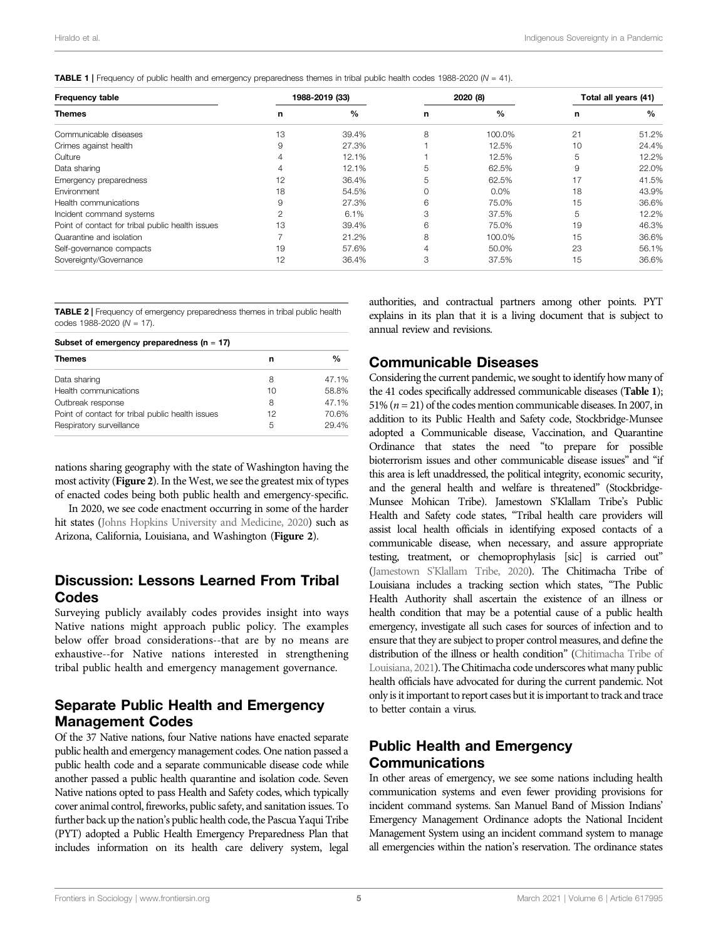<span id="page-4-0"></span>

| TABLE 1   Frequency of public health and emergency preparedness themes in tribal public health codes 1988-2020 (N = 41). |  |  |
|--------------------------------------------------------------------------------------------------------------------------|--|--|
|--------------------------------------------------------------------------------------------------------------------------|--|--|

| <b>Frequency table</b><br><b>Themes</b>          | 1988-2019 (33) |       | 2020 (8) |               | Total all years (41) |       |
|--------------------------------------------------|----------------|-------|----------|---------------|----------------------|-------|
|                                                  | n              | $\%$  | n        | $\frac{0}{0}$ | n                    | $\%$  |
| Communicable diseases                            | 13             | 39.4% | 8        | 100.0%        | 21                   | 51.2% |
| Crimes against health                            | 9              | 27.3% |          | 12.5%         | 10                   | 24.4% |
| Culture                                          |                | 12.1% |          | 12.5%         | 5                    | 12.2% |
| Data sharing                                     | 4              | 12.1% | 5        | 62.5%         | 9                    | 22.0% |
| Emergency preparedness                           | 12             | 36.4% | 5        | 62.5%         | 17                   | 41.5% |
| Environment                                      | 18             | 54.5% | $\Omega$ | $0.0\%$       | 18                   | 43.9% |
| Health communications                            | 9              | 27.3% | 6        | 75.0%         | 15                   | 36.6% |
| Incident command systems                         |                | 6.1%  | 3        | 37.5%         | 5                    | 12.2% |
| Point of contact for tribal public health issues | 13             | 39.4% | 6        | 75.0%         | 19                   | 46.3% |
| Quarantine and isolation                         |                | 21.2% | 8        | 100.0%        | 15                   | 36.6% |
| Self-governance compacts                         | 19             | 57.6% | 4        | 50.0%         | 23                   | 56.1% |
| Sovereignty/Governance                           | 12             | 36.4% | 3        | 37.5%         | 15                   | 36.6% |

<span id="page-4-1"></span>TABLE 2 | Frequency of emergency preparedness themes in tribal public health codes 1988-2020 ( $N = 17$ ).

| Subset of emergency preparedness ( $n = 17$ )    |    |       |  |  |  |
|--------------------------------------------------|----|-------|--|--|--|
| <b>Themes</b>                                    | n  | %     |  |  |  |
| Data sharing                                     | 8  | 47.1% |  |  |  |
| Health communications                            | 10 | 58.8% |  |  |  |
| Outbreak response                                | 8  | 47.1% |  |  |  |
| Point of contact for tribal public health issues | 12 | 70.6% |  |  |  |
| Respiratory surveillance                         | 5  | 29.4% |  |  |  |

nations sharing geography with the state of Washington having the most activity ([Figure 2](#page-5-1)). In the West, we see the greatest mix of types of enacted codes being both public health and emergency-specific.

In 2020, we see code enactment occurring in some of the harder hit states [\(Johns Hopkins University and Medicine, 2020\)](#page-7-32) such as Arizona, California, Louisiana, and Washington ([Figure 2](#page-5-1)).

#### Discussion: Lessons Learned From Tribal Codes

Surveying publicly availably codes provides insight into ways Native nations might approach public policy. The examples below offer broad considerations--that are by no means are exhaustive--for Native nations interested in strengthening tribal public health and emergency management governance.

#### Separate Public Health and Emergency Management Codes

Of the 37 Native nations, four Native nations have enacted separate public health and emergency management codes. One nation passed a public health code and a separate communicable disease code while another passed a public health quarantine and isolation code. Seven Native nations opted to pass Health and Safety codes, which typically cover animal control, fireworks, public safety, and sanitation issues. To further back up the nation's public health code, the Pascua Yaqui Tribe (PYT) adopted a Public Health Emergency Preparedness Plan that includes information on its health care delivery system, legal

authorities, and contractual partners among other points. PYT explains in its plan that it is a living document that is subject to annual review and revisions.

## Communicable Diseases

Considering the current pandemic, we sought to identify how many of the 41 codes specifically addressed communicable diseases ([Table 1](#page-4-0)); 51% ( $n = 21$ ) of the codes mention communicable diseases. In 2007, in addition to its Public Health and Safety code, Stockbridge-Munsee adopted a Communicable disease, Vaccination, and Quarantine Ordinance that states the need "to prepare for possible bioterrorism issues and other communicable disease issues" and "if this area is left unaddressed, the political integrity, economic security, and the general health and welfare is threatened" (Stockbridge-Munsee Mohican Tribe). Jamestown S'Klallam Tribe's Public Health and Safety code states, "Tribal health care providers will assist local health officials in identifying exposed contacts of a communicable disease, when necessary, and assure appropriate testing, treatment, or chemoprophylasis [sic] is carried out" (Jamestown S'[Klallam Tribe, 2020](#page-7-33)). The Chitimacha Tribe of Louisiana includes a tracking section which states, "The Public Health Authority shall ascertain the existence of an illness or health condition that may be a potential cause of a public health emergency, investigate all such cases for sources of infection and to ensure that they are subject to proper control measures, and define the distribution of the illness or health condition" ([Chitimacha Tribe of](#page-7-34) [Louisiana, 2021](#page-7-34)). The Chitimacha code underscores what many public health officials have advocated for during the current pandemic. Not only is it important to report cases but it is important to track and trace to better contain a virus.

# Public Health and Emergency Communications

In other areas of emergency, we see some nations including health communication systems and even fewer providing provisions for incident command systems. San Manuel Band of Mission Indians' Emergency Management Ordinance adopts the National Incident Management System using an incident command system to manage all emergencies within the nation's reservation. The ordinance states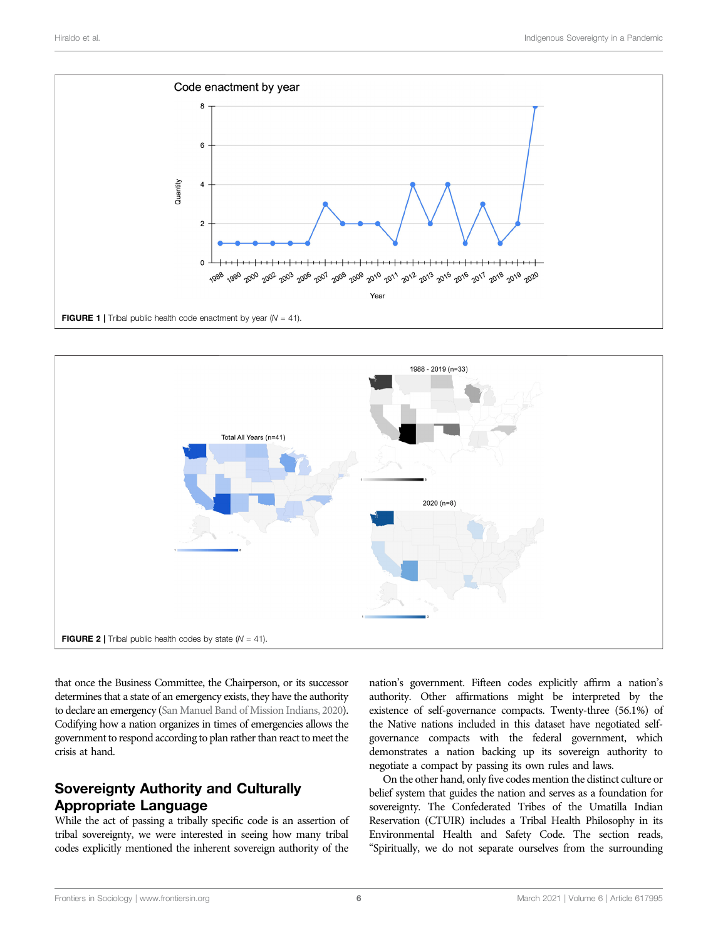

<span id="page-5-0"></span>

<span id="page-5-1"></span>that once the Business Committee, the Chairperson, or its successor determines that a state of an emergency exists, they have the authority to declare an emergency [\(San Manuel Band of Mission Indians, 2020](#page-7-35)). Codifying how a nation organizes in times of emergencies allows the government to respond according to plan rather than react to meet the crisis at hand.

# Sovereignty Authority and Culturally Appropriate Language

While the act of passing a tribally specific code is an assertion of tribal sovereignty, we were interested in seeing how many tribal codes explicitly mentioned the inherent sovereign authority of the

nation's government. Fifteen codes explicitly affirm a nation's authority. Other affirmations might be interpreted by the existence of self-governance compacts. Twenty-three (56.1%) of the Native nations included in this dataset have negotiated selfgovernance compacts with the federal government, which demonstrates a nation backing up its sovereign authority to negotiate a compact by passing its own rules and laws.

On the other hand, only five codes mention the distinct culture or belief system that guides the nation and serves as a foundation for sovereignty. The Confederated Tribes of the Umatilla Indian Reservation (CTUIR) includes a Tribal Health Philosophy in its Environmental Health and Safety Code. The section reads, "Spiritually, we do not separate ourselves from the surrounding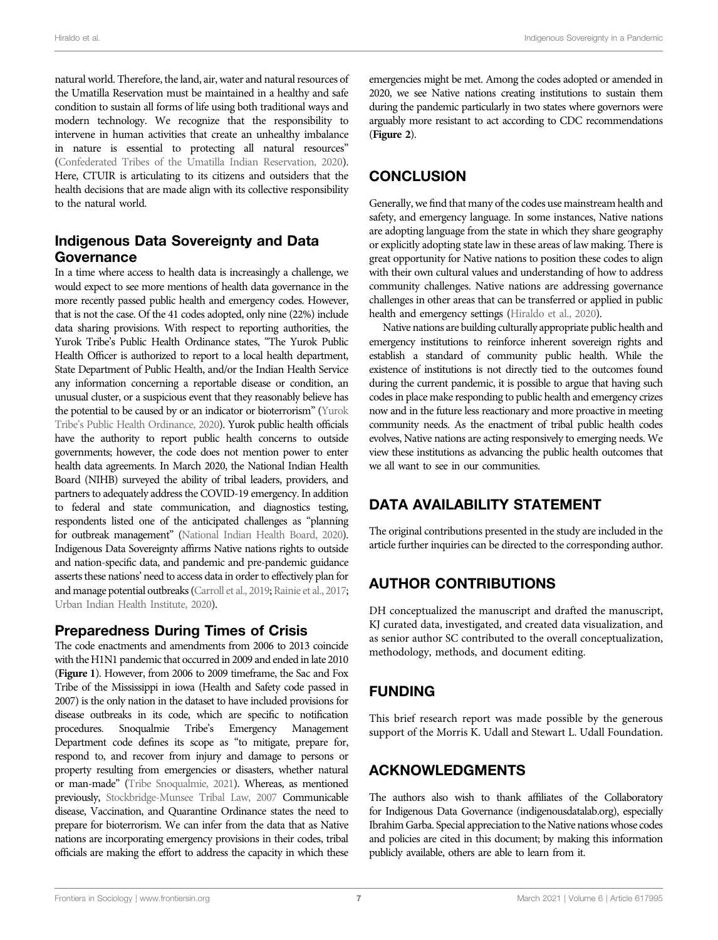natural world. Therefore, the land, air, water and natural resources of the Umatilla Reservation must be maintained in a healthy and safe condition to sustain all forms of life using both traditional ways and modern technology. We recognize that the responsibility to intervene in human activities that create an unhealthy imbalance in nature is essential to protecting all natural resources" [\(Confederated Tribes of the Umatilla Indian Reservation, 2020](#page-7-36)). Here, CTUIR is articulating to its citizens and outsiders that the health decisions that are made align with its collective responsibility to the natural world.

### Indigenous Data Sovereignty and Data Governance

In a time where access to health data is increasingly a challenge, we would expect to see more mentions of health data governance in the more recently passed public health and emergency codes. However, that is not the case. Of the 41 codes adopted, only nine (22%) include data sharing provisions. With respect to reporting authorities, the Yurok Tribe's Public Health Ordinance states, "The Yurok Public Health Officer is authorized to report to a local health department, State Department of Public Health, and/or the Indian Health Service any information concerning a reportable disease or condition, an unusual cluster, or a suspicious event that they reasonably believe has the potential to be caused by or an indicator or bioterrorism" ([Yurok](#page-8-9) Tribe'[s Public Health Ordinance, 2020\)](#page-8-9). Yurok public health officials have the authority to report public health concerns to outside governments; however, the code does not mention power to enter health data agreements. In March 2020, the National Indian Health Board (NIHB) surveyed the ability of tribal leaders, providers, and partners to adequately address the COVID-19 emergency. In addition to federal and state communication, and diagnostics testing, respondents listed one of the anticipated challenges as "planning for outbreak management" [\(National Indian Health Board, 2020](#page-7-31)). Indigenous Data Sovereignty affirms Native nations rights to outside and nation-specific data, and pandemic and pre-pandemic guidance asserts these nations' need to access data in order to effectively plan for and manage potential outbreaks [\(Carroll et al., 2019;](#page-7-17) [Rainie et al., 2017](#page-7-16); [Urban Indian Health Institute, 2020](#page-8-10)).

#### Preparedness During Times of Crisis

The code enactments and amendments from 2006 to 2013 coincide with the H1N1 pandemic that occurred in 2009 and ended in late 2010 ([Figure 1](#page-5-0)). However, from 2006 to 2009 timeframe, the Sac and Fox Tribe of the Mississippi in iowa (Health and Safety code passed in 2007) is the only nation in the dataset to have included provisions for disease outbreaks in its code, which are specific to notification procedures. Snoqualmie Tribe's Emergency Management Department code defines its scope as "to mitigate, prepare for, respond to, and recover from injury and damage to persons or property resulting from emergencies or disasters, whether natural or man-made" [\(Tribe Snoqualmie, 2021\)](#page-8-11). Whereas, as mentioned previously, [Stockbridge-Munsee Tribal Law, 2007](#page-8-12) Communicable disease, Vaccination, and Quarantine Ordinance states the need to prepare for bioterrorism. We can infer from the data that as Native nations are incorporating emergency provisions in their codes, tribal officials are making the effort to address the capacity in which these

emergencies might be met. Among the codes adopted or amended in 2020, we see Native nations creating institutions to sustain them during the pandemic particularly in two states where governors were arguably more resistant to act according to CDC recommendations ([Figure 2](#page-5-1)).

# **CONCLUSION**

Generally, we find that many of the codes use mainstream health and safety, and emergency language. In some instances, Native nations are adopting language from the state in which they share geography or explicitly adopting state law in these areas of law making. There is great opportunity for Native nations to position these codes to align with their own cultural values and understanding of how to address community challenges. Native nations are addressing governance challenges in other areas that can be transferred or applied in public health and emergency settings [\(Hiraldo et al., 2020](#page-7-37)).

Native nations are building culturally appropriate public health and emergency institutions to reinforce inherent sovereign rights and establish a standard of community public health. While the existence of institutions is not directly tied to the outcomes found during the current pandemic, it is possible to argue that having such codes in place make responding to public health and emergency crizes now and in the future less reactionary and more proactive in meeting community needs. As the enactment of tribal public health codes evolves, Native nations are acting responsively to emerging needs. We view these institutions as advancing the public health outcomes that we all want to see in our communities.

# DATA AVAILABILITY STATEMENT

The original contributions presented in the study are included in the article further inquiries can be directed to the corresponding author.

# AUTHOR CONTRIBUTIONS

DH conceptualized the manuscript and drafted the manuscript, KJ curated data, investigated, and created data visualization, and as senior author SC contributed to the overall conceptualization, methodology, methods, and document editing.

# FUNDING

This brief research report was made possible by the generous support of the Morris K. Udall and Stewart L. Udall Foundation.

# ACKNOWLEDGMENTS

The authors also wish to thank affiliates of the Collaboratory for Indigenous Data Governance [\(indigenousdatalab.org\)](http://indigenousdatalab.org), especially Ibrahim Garba. Special appreciation to the Native nations whose codes and policies are cited in this document; by making this information publicly available, others are able to learn from it.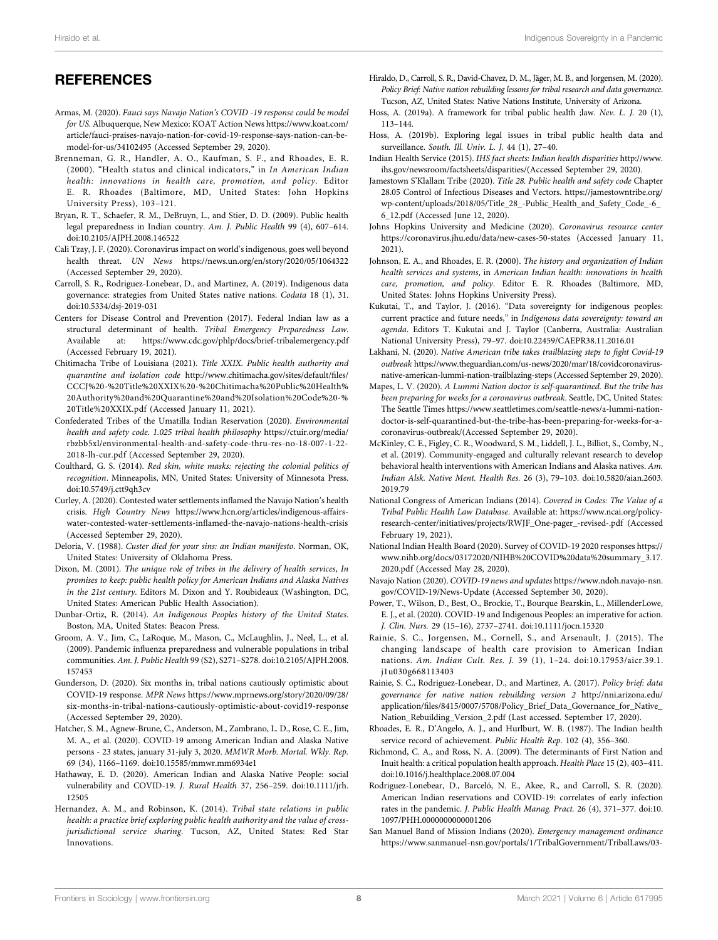## **REFERENCES**

- <span id="page-7-12"></span>Armas, M. (2020). Fauci says Navajo Nation's COVID -19 response could be model for US. Albuquerque, New Mexico: KOAT Action News [https://www.koat.com/](https://www.koat.com/article/fauci-praises-navajo-nation-for-covid-19-response-says-nation-can-be-model-for-us/34102495) [article/fauci-praises-navajo-nation-for-covid-19-response-says-nation-can-be](https://www.koat.com/article/fauci-praises-navajo-nation-for-covid-19-response-says-nation-can-be-model-for-us/34102495)[model-for-us/34102495](https://www.koat.com/article/fauci-praises-navajo-nation-for-covid-19-response-says-nation-can-be-model-for-us/34102495) (Accessed September 29, 2020).
- <span id="page-7-26"></span>Brenneman, G. R., Handler, A. O., Kaufman, S. F., and Rhoades, E. R. (2000). "Health status and clinical indicators," in In American Indian health: innovations in health care, promotion, and policy. Editor E. R. Rhoades (Baltimore, MD, United States: John Hopkins University Press), 103–121.
- <span id="page-7-28"></span>Bryan, R. T., Schaefer, R. M., DeBruyn, L., and Stier, D. D. (2009). Public health legal preparedness in Indian country. Am. J. Public Health 99 (4), 607–614. doi:[10.2105/AJPH.2008.146522](https://doi.org/10.2105/AJPH.2008.146522)
- <span id="page-7-18"></span>Cali Tzay, J. F. (2020). Coronavirus impact on world's indigenous, goes well beyond health threat. UN News <https://news.un.org/en/story/2020/05/1064322> (Accessed September 29, 2020).
- <span id="page-7-17"></span>Carroll, S. R., Rodriguez-Lonebear, D., and Martinez, A. (2019). Indigenous data governance: strategies from United States native nations. Codata 18 (1), 31. doi:[10.5334/dsj-2019-031](https://doi.org/10.5334/dsj-2019-031)
- <span id="page-7-30"></span>Centers for Disease Control and Prevention (2017). Federal Indian law as a structural determinant of health. Tribal Emergency Preparedness Law. Available at:<https://www.cdc.gov/phlp/docs/brief-tribalemergency.pdf> (Accessed February 19, 2021).
- <span id="page-7-34"></span>Chitimacha Tribe of Louisiana (2021). Title XXIX. Public health authority and quarantine and isolation code [http://www.chitimacha.gov/sites/default/](http://www.chitimacha.gov/sites/default/files/CCCJ%20-%20Title%20XXIX%20-%20Chitimacha%20Public%20Health%20Authority%20and%20Quarantine%20and%20Isolation%20Code%20-%20Title%20XXIX.pdf)files/ [CCCJ%20-%20Title%20XXIX%20-%20Chitimacha%20Public%20Health%](http://www.chitimacha.gov/sites/default/files/CCCJ%20-%20Title%20XXIX%20-%20Chitimacha%20Public%20Health%20Authority%20and%20Quarantine%20and%20Isolation%20Code%20-%20Title%20XXIX.pdf) [20Authority%20and%20Quarantine%20and%20Isolation%20Code%20-%](http://www.chitimacha.gov/sites/default/files/CCCJ%20-%20Title%20XXIX%20-%20Chitimacha%20Public%20Health%20Authority%20and%20Quarantine%20and%20Isolation%20Code%20-%20Title%20XXIX.pdf) [20Title%20XXIX.pdf](http://www.chitimacha.gov/sites/default/files/CCCJ%20-%20Title%20XXIX%20-%20Chitimacha%20Public%20Health%20Authority%20and%20Quarantine%20and%20Isolation%20Code%20-%20Title%20XXIX.pdf) (Accessed January 11, 2021).
- <span id="page-7-36"></span>Confederated Tribes of the Umatilla Indian Reservation (2020). Environmental health and safety code. 1.025 tribal health philosophy [https://ctuir.org/media/](https://ctuir.org/media/rbzbb5xl/environmental-health-and-safety-code-thru-res-no-18-007-1-22-2018-lh-cur.pdf) [rbzbb5xl/environmental-health-and-safety-code-thru-res-no-18-007-1-22-](https://ctuir.org/media/rbzbb5xl/environmental-health-and-safety-code-thru-res-no-18-007-1-22-2018-lh-cur.pdf) [2018-lh-cur.pdf](https://ctuir.org/media/rbzbb5xl/environmental-health-and-safety-code-thru-res-no-18-007-1-22-2018-lh-cur.pdf) (Accessed September 29, 2020).
- <span id="page-7-1"></span>Coulthard, G. S. (2014). Red skin, white masks: rejecting the colonial politics of recognition. Minneapolis, MN, United States: University of Minnesota Press. doi:[10.5749/j.ctt9qh3cv](https://doi.org/10.5749/j.ctt9qh3cv)
- <span id="page-7-7"></span>Curley, A. (2020). Contested water settlements inflamed the Navajo Nation's health crisis. High Country News [https://www.hcn.org/articles/indigenous-affairs](https://www.hcn.org/articles/indigenous-affairs-water-contested-water-settlements-inflamed-the-navajo-nations-health-crisis)water-contested-water-settlements-infl[amed-the-navajo-nations-health-crisis](https://www.hcn.org/articles/indigenous-affairs-water-contested-water-settlements-inflamed-the-navajo-nations-health-crisis) (Accessed September 29, 2020).
- <span id="page-7-0"></span>Deloria, V. (1988). Custer died for your sins: an Indian manifesto. Norman, OK, United States: University of Oklahoma Press.
- <span id="page-7-22"></span>Dixon, M. (2001). The unique role of tribes in the delivery of health services, In promises to keep: public health policy for American Indians and Alaska Natives in the 21st century. Editors M. Dixon and Y. Roubideaux (Washington, DC, United States: American Public Health Association).
- <span id="page-7-2"></span>Dunbar-Ortiz, R. (2014). An Indigenous Peoples history of the United States. Boston, MA, United States: Beacon Press.
- <span id="page-7-19"></span>Groom, A. V., Jim, C., LaRoque, M., Mason, C., McLaughlin, J., Neel, L., et al. (2009). Pandemic influenza preparedness and vulnerable populations in tribal communities. Am. J. Public Health 99 (S2), S271–S278. doi:[10.2105/AJPH.2008.](https://doi.org/10.2105/AJPH.2008.157453) [157453](https://doi.org/10.2105/AJPH.2008.157453)
- <span id="page-7-8"></span>Gunderson, D. (2020). Six months in, tribal nations cautiously optimistic about COVID-19 response. MPR News [https://www.mprnews.org/story/2020/09/28/](https://www.mprnews.org/story/2020/09/28/six-months-in-tribal-nations-cautiously-optimistic-about-covid19-response) [six-months-in-tribal-nations-cautiously-optimistic-about-covid19-response](https://www.mprnews.org/story/2020/09/28/six-months-in-tribal-nations-cautiously-optimistic-about-covid19-response) (Accessed September 29, 2020).
- <span id="page-7-3"></span>Hatcher, S. M., Agnew-Brune, C., Anderson, M., Zambrano, L. D., Rose, C. E., Jim, M. A., et al. (2020). COVID-19 among American Indian and Alaska Native persons - 23 states, january 31-july 3, 2020. MMWR Morb. Mortal. Wkly. Rep. 69 (34), 1166–1169. doi[:10.15585/mmwr.mm6934e1](https://doi.org/10.15585/mmwr.mm6934e1)
- <span id="page-7-4"></span>Hathaway, E. D. (2020). American Indian and Alaska Native People: social vulnerability and COVID-19. J. Rural Health 37, 256–259. doi[:10.1111/jrh.](https://doi.org/10.1111/jrh.12505) [12505](https://doi.org/10.1111/jrh.12505)
- <span id="page-7-24"></span>Hernandez, A. M., and Robinson, K. (2014). Tribal state relations in public health: a practice brief exploring public health authority and the value of crossjurisdictional service sharing. Tucson, AZ, United States: Red Star Innovations.
- <span id="page-7-37"></span>Hiraldo, D., Carroll, S. R., David-Chavez, D. M., Jäger, M. B., and Jorgensen, M. (2020). Policy Brief: Native nation rebuilding lessons for tribal research and data governance. Tucson, AZ, United States: Native Nations Institute, University of Arizona.
- <span id="page-7-14"></span>Hoss, A. (2019a). A framework for tribal public health ;law. Nev. L. J. 20 (1), 113–144.
- <span id="page-7-29"></span>Hoss, A. (2019b). Exploring legal issues in tribal public health data and surveillance. South. Ill. Univ. L. J. 44 (1), 27–40.
- <span id="page-7-20"></span>Indian Health Service (2015). IHS fact sheets: Indian health disparities [http://www.](http://www.ihs.gov/newsroom/factsheets/disparities/) [ihs.gov/newsroom/factsheets/disparities/\(](http://www.ihs.gov/newsroom/factsheets/disparities/)Accessed September 29, 2020).
- <span id="page-7-33"></span>Jamestown S'Klallam Tribe (2020). Title 28. Public health and safety code Chapter 28.05 Control of Infectious Diseases and Vectors. [https://jamestowntribe.org/](https://jamestowntribe.org/wp-content/uploads/2018/05/Title_28_-Public_Health_and_Safety_Code_-6_6_12.pdf) [wp-content/uploads/2018/05/Title\\_28\\_-Public\\_Health\\_and\\_Safety\\_Code\\_-6\\_](https://jamestowntribe.org/wp-content/uploads/2018/05/Title_28_-Public_Health_and_Safety_Code_-6_6_12.pdf) [6\\_12.pdf](https://jamestowntribe.org/wp-content/uploads/2018/05/Title_28_-Public_Health_and_Safety_Code_-6_6_12.pdf) (Accessed June 12, 2020).
- <span id="page-7-32"></span>Johns Hopkins University and Medicine (2020). Coronavirus resource center <https://coronavirus.jhu.edu/data/new-cases-50-states> (Accessed January 11, 2021).
- <span id="page-7-27"></span>Johnson, E. A., and Rhoades, E. R. (2000). The history and organization of Indian health services and systems, in American Indian health: innovations in health care, promotion, and policy. Editor E. R. Rhoades (Baltimore, MD, United States: Johns Hopkins University Press).
- <span id="page-7-15"></span>Kukutai, T., and Taylor, J. (2016). "Data sovereignty for indigenous peoples: current practice and future needs," in Indigenous data sovereignty: toward an agenda. Editors T. Kukutai and J. Taylor (Canberra, Australia: Australian National University Press), 79–97. doi:[10.22459/CAEPR38.11.2016.01](https://doi.org/10.22459/CAEPR38.11.2016.01)
- <span id="page-7-9"></span>Lakhani, N. (2020). Native American tribe takes trailblazing steps to fight Covid-19 outbreak [https://www.theguardian.com/us-news/2020/mar/18/covidcoronavirus](https://www.theguardian.com/us-news/2020/mar/18/covidcoronavirus-native-american-lummi-nation-trailblazing-steps)[native-american-lummi-nation-trailblazing-steps](https://www.theguardian.com/us-news/2020/mar/18/covidcoronavirus-native-american-lummi-nation-trailblazing-steps) (Accessed September 29, 2020).
- <span id="page-7-10"></span>Mapes, L. V. (2020). A Lummi Nation doctor is self-quarantined. But the tribe has been preparing for weeks for a coronavirus outbreak. Seattle, DC, United States: The Seattle Times [https://www.seattletimes.com/seattle-news/a-lummi-nation](https://www.seattletimes.com/seattle-news/a-lummi-nation-doctor-is-self-quarantined-but-the-tribe-has-been-preparing-for-weeks-for-a-coronavirus-outbreak/)[doctor-is-self-quarantined-but-the-tribe-has-been-preparing-for-weeks-for-a](https://www.seattletimes.com/seattle-news/a-lummi-nation-doctor-is-self-quarantined-but-the-tribe-has-been-preparing-for-weeks-for-a-coronavirus-outbreak/)[coronavirus-outbreak/](https://www.seattletimes.com/seattle-news/a-lummi-nation-doctor-is-self-quarantined-but-the-tribe-has-been-preparing-for-weeks-for-a-coronavirus-outbreak/)(Accessed September 29, 2020).
- <span id="page-7-13"></span>McKinley, C. E., Figley, C. R., Woodward, S. M., Liddell, J. L., Billiot, S., Comby, N., et al. (2019). Community-engaged and culturally relevant research to develop behavioral health interventions with American Indians and Alaska natives. Am. Indian Alsk. Native Ment. Health Res. 26 (3), 79–103. doi[:10.5820/aian.2603.](https://doi.org/10.5820/aian.2603.2019.79) [2019.79](https://doi.org/10.5820/aian.2603.2019.79)
- <span id="page-7-31"></span>National Congress of American Indians (2014). Covered in Codes: The Value of a Tribal Public Health Law Database. Available at: [https://www.ncai.org/policy](https://www.ncai.org/policy-research-center/initiatives/projects/RWJF_One-pager_-revised-.pdf)[research-center/initiatives/projects/RWJF\\_One-pager\\_-revised-.pdf](https://www.ncai.org/policy-research-center/initiatives/projects/RWJF_One-pager_-revised-.pdf) (Accessed February 19, 2021).
- National Indian Health Board (2020). Survey of COVID-19 2020 responses [https://](https://www.nihb.org/docs/03172020/NIHB%20COVID%20data%20summary_3.17. 2020.pdf) [www.nihb.org/docs/03172020/NIHB%20COVID%20data%20summary\\_3.17.](https://www.nihb.org/docs/03172020/NIHB%20COVID%20data%20summary_3.17. 2020.pdf) [2020.pdf](https://www.nihb.org/docs/03172020/NIHB%20COVID%20data%20summary_3.17. 2020.pdf) (Accessed May 28, 2020).
- <span id="page-7-11"></span>Navajo Nation (2020). COVID-19 news and updates [https://www.ndoh.navajo-nsn.](https://www.ndoh.navajo-nsn.gov/COVID-19/News-Update) [gov/COVID-19/News-Update](https://www.ndoh.navajo-nsn.gov/COVID-19/News-Update) (Accessed September 30, 2020).
- <span id="page-7-5"></span>Power, T., Wilson, D., Best, O., Brockie, T., Bourque Bearskin, L., MillenderLowe, E. J., et al. (2020). COVID-19 and Indigenous Peoples: an imperative for action. J. Clin. Nurs. 29 (15–16), 2737–2741. doi:[10.1111/jocn.15320](https://doi.org/10.1111/jocn.15320)
- <span id="page-7-21"></span>Rainie, S. C., Jorgensen, M., Cornell, S., and Arsenault, J. (2015). The changing landscape of health care provision to American Indian nations. Am. Indian Cult. Res. J. 39 (1), 1–24. doi:[10.17953/aicr.39.1.](https://doi.org/10.17953/aicr.39.1.j1u030g668113403) [j1u030g668113403](https://doi.org/10.17953/aicr.39.1.j1u030g668113403)
- <span id="page-7-16"></span>Rainie, S. C., Rodriguez-Lonebear, D., and Martinez, A. (2017). Policy brief: data governance for native nation rebuilding version 2 [http://nni.arizona.edu/](http://nni.arizona.edu/application/files/8415/0007/5708/Policy_Brief_Data_Governance_for_Native_Nation_Rebuilding_Version_2.pdf) application/fi[les/8415/0007/5708/Policy\\_Brief\\_Data\\_Governance\\_for\\_Native\\_](http://nni.arizona.edu/application/files/8415/0007/5708/Policy_Brief_Data_Governance_for_Native_Nation_Rebuilding_Version_2.pdf) [Nation\\_Rebuilding\\_Version\\_2.pdf](http://nni.arizona.edu/application/files/8415/0007/5708/Policy_Brief_Data_Governance_for_Native_Nation_Rebuilding_Version_2.pdf) (Last accessed. September 17, 2020).
- <span id="page-7-25"></span>Rhoades, E. R., D'Angelo, A. J., and Hurlburt, W. B. (1987). The Indian health service record of achievement. Public Health Rep. 102 (4), 356–360.
- <span id="page-7-23"></span>Richmond, C. A., and Ross, N. A. (2009). The determinants of First Nation and Inuit health: a critical population health approach. Health Place 15 (2), 403–411. doi[:10.1016/j.healthplace.2008.07.004](https://doi.org/10.1016/j.healthplace.2008.07.004)
- <span id="page-7-6"></span>Rodriguez-Lonebear, D., Barceló, N. E., Akee, R., and Carroll, S. R. (2020). American Indian reservations and COVID-19: correlates of early infection rates in the pandemic. J. Public Health Manag. Pract. 26 (4), 371–377. doi[:10.](https://doi.org/10.1097/PHH.0000000000001206) [1097/PHH.0000000000001206](https://doi.org/10.1097/PHH.0000000000001206)
- <span id="page-7-35"></span>San Manuel Band of Mission Indians (2020). Emergency management ordinance [https://www.sanmanuel-nsn.gov/portals/1/TribalGovernment/TribalLaws/03-](https://www.sanmanuel-nsn.gov/portals/1/TribalGovernment/TribalLaws/03-2019_Updates/APPROVED.Ch%2032%20Emergency%20Management%20Ordinance%20(amended%206-9-15).pdf)